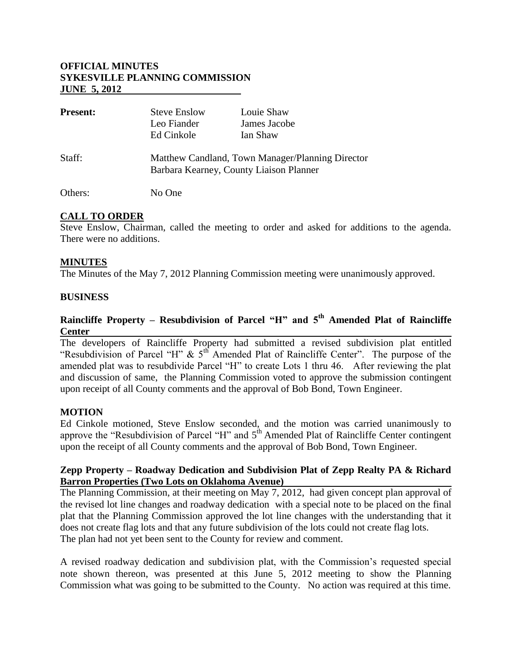## **OFFICIAL MINUTES SYKESVILLE PLANNING COMMISSION JUNE 5, 2012**

| <b>Present:</b> | <b>Steve Enslow</b>                                                                         | Louie Shaw   |
|-----------------|---------------------------------------------------------------------------------------------|--------------|
|                 | Leo Fiander                                                                                 | James Jacobe |
|                 | Ed Cinkole                                                                                  | Ian Shaw     |
| Staff:          | Matthew Candland, Town Manager/Planning Director<br>Barbara Kearney, County Liaison Planner |              |
| Others:         | No One                                                                                      |              |

# **CALL TO ORDER**

Steve Enslow, Chairman, called the meeting to order and asked for additions to the agenda. There were no additions.

#### **MINUTES**

The Minutes of the May 7, 2012 Planning Commission meeting were unanimously approved.

#### **BUSINESS**

# **Raincliffe Property – Resubdivision of Parcel "H" and 5th Amended Plat of Raincliffe Center**

The developers of Raincliffe Property had submitted a revised subdivision plat entitled "Resubdivision of Parcel "H"  $\&$  5<sup>th</sup> Amended Plat of Raincliffe Center". The purpose of the amended plat was to resubdivide Parcel "H" to create Lots 1 thru 46. After reviewing the plat and discussion of same, the Planning Commission voted to approve the submission contingent upon receipt of all County comments and the approval of Bob Bond, Town Engineer.

#### **MOTION**

Ed Cinkole motioned, Steve Enslow seconded, and the motion was carried unanimously to approve the "Resubdivision of Parcel "H" and  $5<sup>th</sup>$  Amended Plat of Raincliffe Center contingent upon the receipt of all County comments and the approval of Bob Bond, Town Engineer.

#### **Zepp Property – Roadway Dedication and Subdivision Plat of Zepp Realty PA & Richard Barron Properties (Two Lots on Oklahoma Avenue)**

The Planning Commission, at their meeting on May 7, 2012, had given concept plan approval of the revised lot line changes and roadway dedication with a special note to be placed on the final plat that the Planning Commission approved the lot line changes with the understanding that it does not create flag lots and that any future subdivision of the lots could not create flag lots. The plan had not yet been sent to the County for review and comment.

A revised roadway dedication and subdivision plat, with the Commission's requested special note shown thereon, was presented at this June 5, 2012 meeting to show the Planning Commission what was going to be submitted to the County. No action was required at this time.